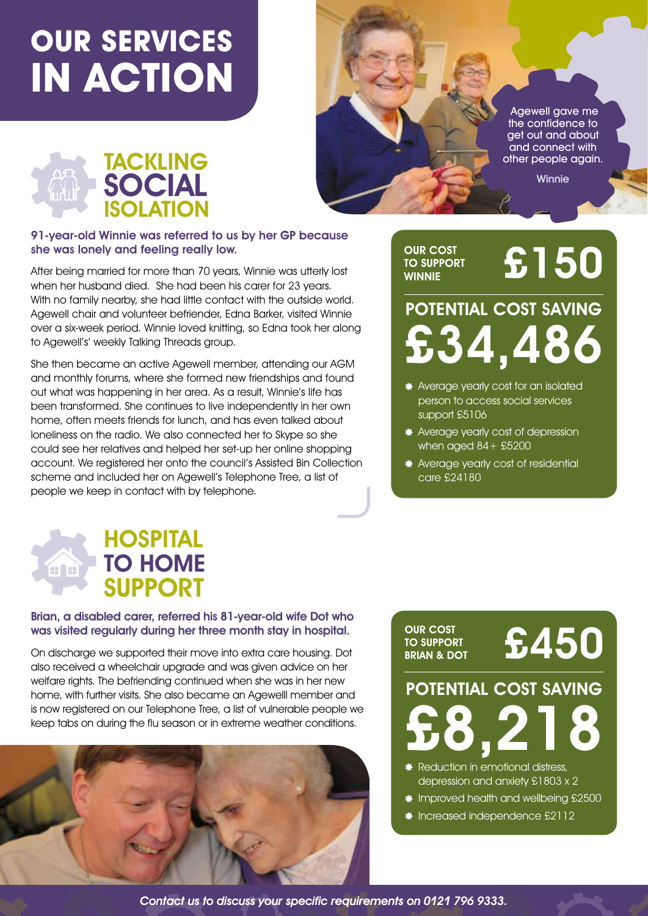# **OUR SERVICES IN ACTION**





#### 91-year-old Winnie was referred to us by her GP because she was lonely and feeling really low.

After being married for more than 70 years, Winnie was utterly lost when her husband died. She had been his carer for 23 years. With no family nearby, she had little contact with the outside world. Agewell chair and volunteer befriender, Edna Barker, visited Winnie over a six-week period. Winnie loved knitting, so Edna took her along to Agewell's' weekly Talking Threads group.

She then became an active Agewell member, attending our AGM and monthly forums, where she formed new friendships and found out what was happening in her area. As a result, Winnie's life has been transformed. She continues to live independently in her own home, often meets friends for lunch, and has even talked about loneliness on the radio. We also connected her to Skype so she could see her relatives and helped her set-up her online shopping account. We registered her onto the council's Assisted Bin Collection scheme and included her on Agewell's Telephone Tree, a list of people we keep in contact with by telephone.

#### OUR COST TO SUPPORT **WINNIE**

# £150

## £34,486 POTENTIAL COST SAVING

- **Average yearly cost for an isolated** person to access social services support £5106
- **Average yearly cost of depression** when aged  $84 + $5200$
- Average yearly cost of residential care £24180

### **HOSPITAL** TO HOME na SUPPORT

### Brian, a disabled carer, referred his 81-year-old wife Dot who was visited regularly during her three month stay in hospital.

On discharge we supported their move into extra care housing. Dot also received a wheelchair upgrade and was given advice on her welfare rights. The befriending continued when she was in her new home, with further visits. She also became an Agewelll member and is now registered on our Telephone Tree, a list of vulnerable people we keep tabs on during the flu season or in extreme weather conditions.



### OUR COST **TO SUPPORT<br>BRIAN & DOT**

£450

£8,218 POTENTIAL COST SAVING

Reduction in emotional distress, depression and anxiety £1803 x 2

- **Improved health and wellbeing £2500**
- **Increased independence £2112**

Contact us to discuss your specific requirements on 0121 796 9333.